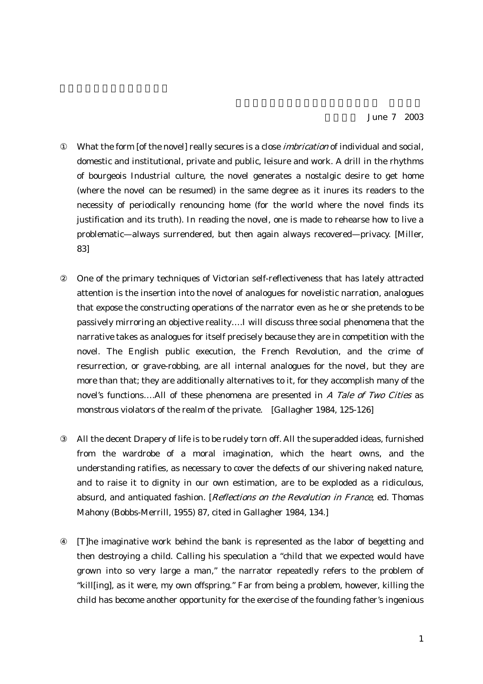What the form [of the novel] really secures is a close *imbrication* of individual and social, domestic and institutional, private and public, leisure and work. A drill in the rhythms of bourgeois Industrial culture, the novel generates a nostalgic desire to get home (where the novel can be resumed) in the same degree as it inures its readers to the necessity of periodically renouncing home (for the world where the novel finds its justification and its truth). In reading the novel, one is made to rehearse how to live a problematic—always surrendered, but then again always recovered—privacy. [Miller, 83]

② One of the primary techniques of Victorian self-reflectiveness that has lately attracted attention is the insertion into the novel of analogues for novelistic narration, analogues that expose the constructing operations of the narrator even as he or she pretends to be passively mirroring an objective reality….I will discuss three social phenomena that the narrative takes as analogues for itself precisely because they are in competition with the novel. The English public execution, the French Revolution, and the crime of resurrection, or grave-robbing, are all internal analogues for the novel, but they are more than that; they are additionally alternatives to it, for they accomplish many of the novel's functions....All of these phenomena are presented in A Tale of Two Cities as monstrous violators of the realm of the private. [Gallagher 1984, 125-126]

All the decent Drapery of life is to be rudely torn off. All the superadded ideas, furnished from the wardrobe of a moral imagination, which the heart owns, and the understanding ratifies, as necessary to cover the defects of our shivering naked nature, and to raise it to dignity in our own estimation, are to be exploded as a ridiculous, absurd, and antiquated fashion. [Reflections on the Revolution in France, ed. Thomas Mahony (Bobbs-Merrill, 1955) 87, cited in Gallagher 1984, 134.]

④ [T]he imaginative work behind the bank is represented as the labor of begetting and then destroying a child. Calling his speculation a "child that we expected would have grown into so very large a man," the narrator repeatedly refers to the problem of "kill[ing], as it were, my own offspring." Far from being a problem, however, killing the child has become another opportunity for the exercise of the founding father's ingenious